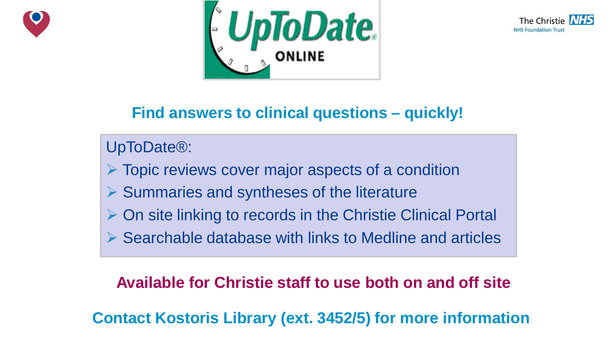





### **Find answers to clinical questions – quickly!**

UpToDate®:

 $\triangleright$  Topic reviews cover major aspects of a condition

- $\triangleright$  Summaries and syntheses of the literature
- $\triangleright$  On site linking to records in the Christie Clinical Portal
- $\triangleright$  Searchable database with links to Medline and articles

#### **Available for Christie staff to use both on and off site**

The Christie NHS Foundation Trust **Contact Kostoris Library (ext. 3452/5) for more information**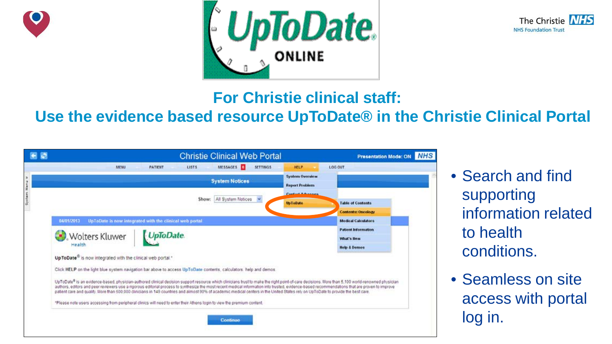





#### **For Christie clinical staff:**

### **Use the evidence based resource UpToDate® in the Christie Clinical Portal**

| <b>CD</b> | <b>Christie Clinical Web Portal</b>                                                                                                                                                                                                                                                                                                                                                                                                                                                                                                                                                      |                                                 | <b>Presentation Mode: ON NHS</b> |             |  |
|-----------|------------------------------------------------------------------------------------------------------------------------------------------------------------------------------------------------------------------------------------------------------------------------------------------------------------------------------------------------------------------------------------------------------------------------------------------------------------------------------------------------------------------------------------------------------------------------------------------|-------------------------------------------------|----------------------------------|-------------|--|
|           | MESSAGES<br><b>SETTINGS</b><br><b>LISTS</b><br><b>MENU</b><br><b>PATIEUT</b>                                                                                                                                                                                                                                                                                                                                                                                                                                                                                                             | <b>HELP</b>                                     | <b>LOG OUT</b>                   |             |  |
|           | <b>System Notices</b>                                                                                                                                                                                                                                                                                                                                                                                                                                                                                                                                                                    | <b>System Overview</b><br><b>Report Problem</b> |                                  | • Search an |  |
|           | Show: All System Notices                                                                                                                                                                                                                                                                                                                                                                                                                                                                                                                                                                 |                                                 |                                  | supporting  |  |
|           |                                                                                                                                                                                                                                                                                                                                                                                                                                                                                                                                                                                          | <b>Up ToDate</b>                                | <b>Table of Contents</b>         |             |  |
|           |                                                                                                                                                                                                                                                                                                                                                                                                                                                                                                                                                                                          | <b>Contents: Oncology</b>                       | informatio                       |             |  |
|           | 04/01/2013<br>UpToDate is now integrated with the clinical web portal                                                                                                                                                                                                                                                                                                                                                                                                                                                                                                                    |                                                 | <b>Medical Calculators</b>       |             |  |
|           |                                                                                                                                                                                                                                                                                                                                                                                                                                                                                                                                                                                          |                                                 | <b>Patient Information</b>       | to health   |  |
|           | <b>UpToDate</b><br><b>Wolters Kluwer</b>                                                                                                                                                                                                                                                                                                                                                                                                                                                                                                                                                 |                                                 | <b>What's Hew</b>                |             |  |
|           | Health                                                                                                                                                                                                                                                                                                                                                                                                                                                                                                                                                                                   |                                                 | <b>Help &amp; Demos</b>          | conditions  |  |
|           | UpToDate <sup>®</sup> is now integrated with the clinical web portal. <sup>*</sup>                                                                                                                                                                                                                                                                                                                                                                                                                                                                                                       |                                                 |                                  |             |  |
|           | Click HELP on the light blue system navigation bar above to access UpToDate contents, calculators, help and demos.                                                                                                                                                                                                                                                                                                                                                                                                                                                                       |                                                 |                                  |             |  |
|           | UpToDate® is an evidence-based, physician-authored clinical decision support resource which clinicians trust to make the right point-of-care decisions. More than 5,100 world-renowned physician<br>authors, editors and peer reviewers use a rigorous editorial process to synthesize the most recent medical information into trusted, evidence-based recommendations that are proven to improve<br>patient care and quality. More than 600,000 clinicians in 149 countries and almost 90% of academic medical centers in the United States rely on UpToDate to provide the best care. | • Seamless<br>access wit                        |                                  |             |  |
|           | *Please note users accessing from peripheral clinics will need to enter their Athens login to view the premium content.                                                                                                                                                                                                                                                                                                                                                                                                                                                                  |                                                 |                                  |             |  |
|           | Continue                                                                                                                                                                                                                                                                                                                                                                                                                                                                                                                                                                                 | log in.                                         |                                  |             |  |

- Search and find supporting information related to health conditions.
- Seamless on site access with portal log in.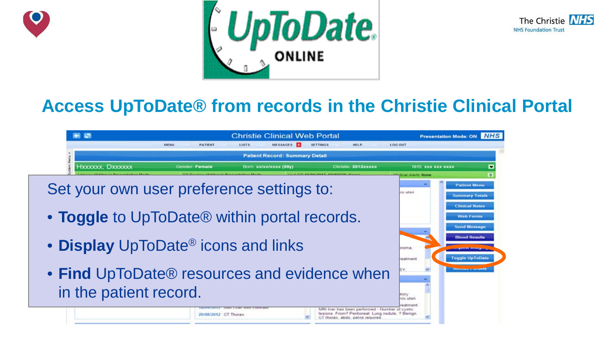





### **Access UpToDate® from records in the Christie Clinical Portal**

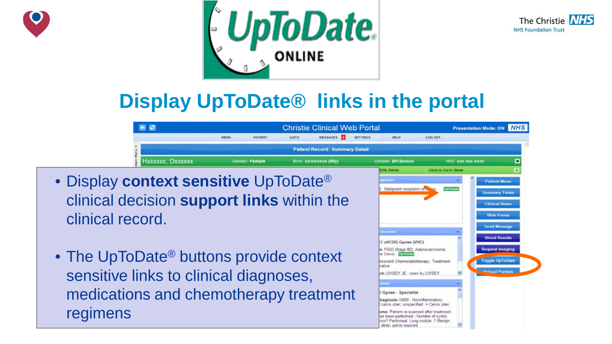





## **Display UpToDate® links in the portal**



- Display **context sensitive** UpToDate® clinical decision **support links** within the clinical record.
- The UpToDate<sup>®</sup> buttons provide context sensitive links to clinical diagnoses, medications and chemotherapy treatment regimens

|     | Christie 2012xxxxx                                                                                                                                    | NHS XXX XXX XXXX                   | E                      |
|-----|-------------------------------------------------------------------------------------------------------------------------------------------------------|------------------------------------|------------------------|
|     | SON, Karen                                                                                                                                            | <b><i>Medical Alerts: None</i></b> | $\bullet$              |
|     | gnoses                                                                                                                                                |                                    | <b>Patient Menu</b>    |
|     | 2 Malignant neoplasm of wast                                                                                                                          | <b>UpToDate</b>                    | <b>Summary Totals</b>  |
| e   |                                                                                                                                                       |                                    | <b>Clinical Notes</b>  |
|     |                                                                                                                                                       |                                    | <b>Web Forms</b>       |
|     |                                                                                                                                                       |                                    | <b>Send Message</b>    |
|     | utcomes<br>12 zACOG Gynae (VVC)                                                                                                                       |                                    | <b>Blood Results</b>   |
|     | s: FIGO Stage IB2, Adenocarcinoma.<br>le Cervix Unicores                                                                                              |                                    | <b>Request Imaging</b> |
|     | ncurrent Chemoradiotherapy. Treatment<br>arative                                                                                                      |                                    | <b>Toggle UpToDate</b> |
|     | int: LIVSEY JE - seen by LIVSEY.                                                                                                                      |                                    | <b>Pelond Portlets</b> |
|     | ames                                                                                                                                                  |                                    |                        |
| ∙nt | 2 Gynae - Specialist                                                                                                                                  |                                    |                        |
|     | Diagnosis: N889 Noninflammatory<br>cenix uten, unspecified = Cenix uten                                                                               |                                    |                        |
|     | ome: Patient re-scanned after treatment.<br>as been performed - Number of cystic<br>rom? Peritoneal. Lung nodule, ? Benign.<br>abdo, pelvis required. |                                    |                        |